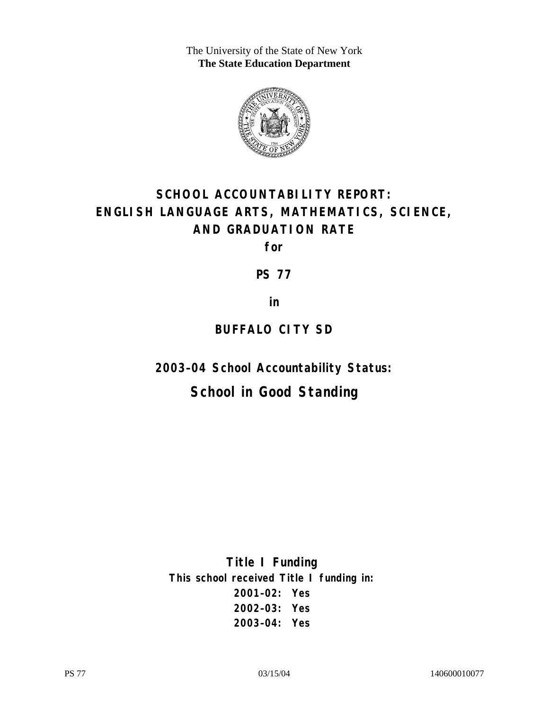The University of the State of New York **The State Education Department** 



# **SCHOOL ACCOUNTABILITY REPORT: ENGLISH LANGUAGE ARTS, MATHEMATICS, SCIENCE, AND GRADUATION RATE**

**for** 

**PS 77** 

**in** 

## **BUFFALO CITY SD**

**2003–04 School Accountability Status:** 

## **School in Good Standing**

**Title I Funding This school received Title I funding in: 2001–02: Yes 2002–03: Yes 2003–04: Yes**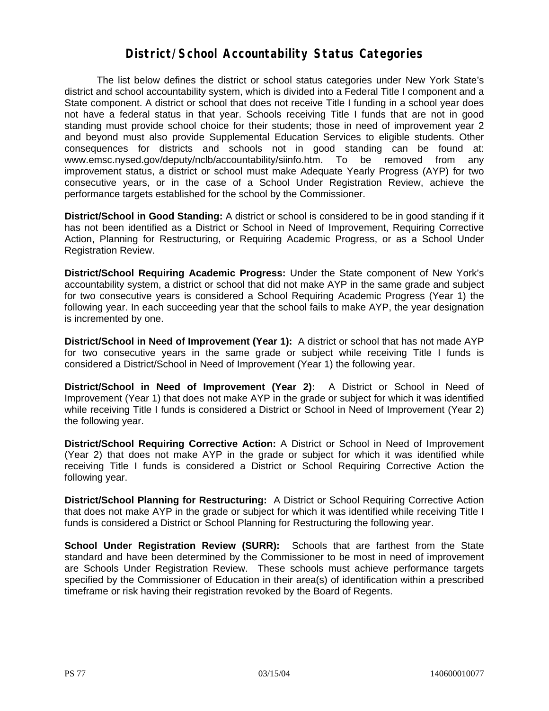#### **District/School Accountability Status Categories**

The list below defines the district or school status categories under New York State's district and school accountability system, which is divided into a Federal Title I component and a State component. A district or school that does not receive Title I funding in a school year does not have a federal status in that year. Schools receiving Title I funds that are not in good standing must provide school choice for their students; those in need of improvement year 2 and beyond must also provide Supplemental Education Services to eligible students. Other consequences for districts and schools not in good standing can be found at: www.emsc.nysed.gov/deputy/nclb/accountability/siinfo.htm. To be removed from any improvement status, a district or school must make Adequate Yearly Progress (AYP) for two consecutive years, or in the case of a School Under Registration Review, achieve the performance targets established for the school by the Commissioner.

**District/School in Good Standing:** A district or school is considered to be in good standing if it has not been identified as a District or School in Need of Improvement, Requiring Corrective Action, Planning for Restructuring, or Requiring Academic Progress, or as a School Under Registration Review.

**District/School Requiring Academic Progress:** Under the State component of New York's accountability system, a district or school that did not make AYP in the same grade and subject for two consecutive years is considered a School Requiring Academic Progress (Year 1) the following year. In each succeeding year that the school fails to make AYP, the year designation is incremented by one.

**District/School in Need of Improvement (Year 1):** A district or school that has not made AYP for two consecutive years in the same grade or subject while receiving Title I funds is considered a District/School in Need of Improvement (Year 1) the following year.

**District/School in Need of Improvement (Year 2):** A District or School in Need of Improvement (Year 1) that does not make AYP in the grade or subject for which it was identified while receiving Title I funds is considered a District or School in Need of Improvement (Year 2) the following year.

**District/School Requiring Corrective Action:** A District or School in Need of Improvement (Year 2) that does not make AYP in the grade or subject for which it was identified while receiving Title I funds is considered a District or School Requiring Corrective Action the following year.

**District/School Planning for Restructuring:** A District or School Requiring Corrective Action that does not make AYP in the grade or subject for which it was identified while receiving Title I funds is considered a District or School Planning for Restructuring the following year.

**School Under Registration Review (SURR):** Schools that are farthest from the State standard and have been determined by the Commissioner to be most in need of improvement are Schools Under Registration Review. These schools must achieve performance targets specified by the Commissioner of Education in their area(s) of identification within a prescribed timeframe or risk having their registration revoked by the Board of Regents.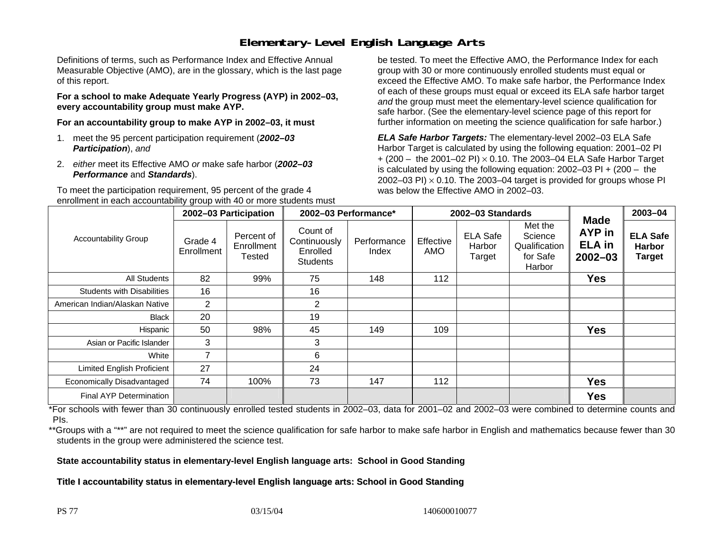### **Elementary-Level English Language Arts**

Definitions of terms, such as Performance Index and Effective Annual Measurable Objective (AMO), are in the glossary, which is the last page of this report.

**For a school to make Adequate Yearly Progress (AYP) in 2002–03, every accountability group must make AYP.** 

**For an accountability group to make AYP in 2002–03, it must** 

- 1. meet the 95 percent participation requirement (*2002–03 Participation*), *and*
- 2. *either* meet its Effective AMO *or* make safe harbor (*2002–03 Performance* and *Standards*).

To meet the participation requirement, 95 percent of the grade 4 enrollment in each accountability group with 40 or more students must

be tested. To meet the Effective AMO, the Performance Index for each group with 30 or more continuously enrolled students must equal or exceed the Effective AMO. To make safe harbor, the Performance Index of each of these groups must equal or exceed its ELA safe harbor target *and* the group must meet the elementary-level science qualification for safe harbor. (See the elementary-level science page of this report for further information on meeting the science qualification for safe harbor.)

*ELA Safe Harbor Targets:* The elementary-level 2002–03 ELA Safe Harbor Target is calculated by using the following equation: 2001–02 PI + (200 – the 2001–02 PI) <sup>×</sup> 0.10. The 2003–04 ELA Safe Harbor Target is calculated by using the following equation: 2002–03 PI + (200 – the 2002–03 PI)  $\times$  0.10. The 2003–04 target is provided for groups whose PI was below the Effective AMO in 2002–03.

| <b>Accountability Group</b>       | 2002-03 Participation |                                    | 2002-03 Performance*                                    |                      | 2002-03 Standards |                                     |                                                           |                                                              | 2003-04                                           |
|-----------------------------------|-----------------------|------------------------------------|---------------------------------------------------------|----------------------|-------------------|-------------------------------------|-----------------------------------------------------------|--------------------------------------------------------------|---------------------------------------------------|
|                                   | Grade 4<br>Enrollment | Percent of<br>Enrollment<br>Tested | Count of<br>Continuously<br>Enrolled<br><b>Students</b> | Performance<br>Index | Effective<br>AMO  | <b>ELA Safe</b><br>Harbor<br>Target | Met the<br>Science<br>Qualification<br>for Safe<br>Harbor | <b>Made</b><br><b>AYP</b> in<br><b>ELA</b> in<br>$2002 - 03$ | <b>ELA Safe</b><br><b>Harbor</b><br><b>Target</b> |
| All Students                      | 82                    | 99%                                | 75                                                      | 148                  | 112               |                                     |                                                           | <b>Yes</b>                                                   |                                                   |
| <b>Students with Disabilities</b> | 16                    |                                    | 16                                                      |                      |                   |                                     |                                                           |                                                              |                                                   |
| American Indian/Alaskan Native    | $\overline{2}$        |                                    | $\overline{2}$                                          |                      |                   |                                     |                                                           |                                                              |                                                   |
| Black                             | 20                    |                                    | 19                                                      |                      |                   |                                     |                                                           |                                                              |                                                   |
| Hispanic                          | 50                    | 98%                                | 45                                                      | 149                  | 109               |                                     |                                                           | <b>Yes</b>                                                   |                                                   |
| Asian or Pacific Islander         | 3                     |                                    | 3                                                       |                      |                   |                                     |                                                           |                                                              |                                                   |
| White                             | 7                     |                                    | 6                                                       |                      |                   |                                     |                                                           |                                                              |                                                   |
| Limited English Proficient        | 27                    |                                    | 24                                                      |                      |                   |                                     |                                                           |                                                              |                                                   |
| Economically Disadvantaged        | 74                    | 100%                               | 73                                                      | 147                  | 112               |                                     |                                                           | <b>Yes</b>                                                   |                                                   |
| Final AYP Determination           |                       |                                    |                                                         |                      |                   |                                     |                                                           | <b>Yes</b>                                                   |                                                   |

\*For schools with fewer than 30 continuously enrolled tested students in 2002–03, data for 2001–02 and 2002–03 were combined to determine counts and PIs.

\*\*Groups with a "\*\*" are not required to meet the science qualification for safe harbor to make safe harbor in English and mathematics because fewer than 30 students in the group were administered the science test.

**State accountability status in elementary-level English language arts: School in Good Standing** 

Title I accountability status in elementary-level English language arts: School in Good Standing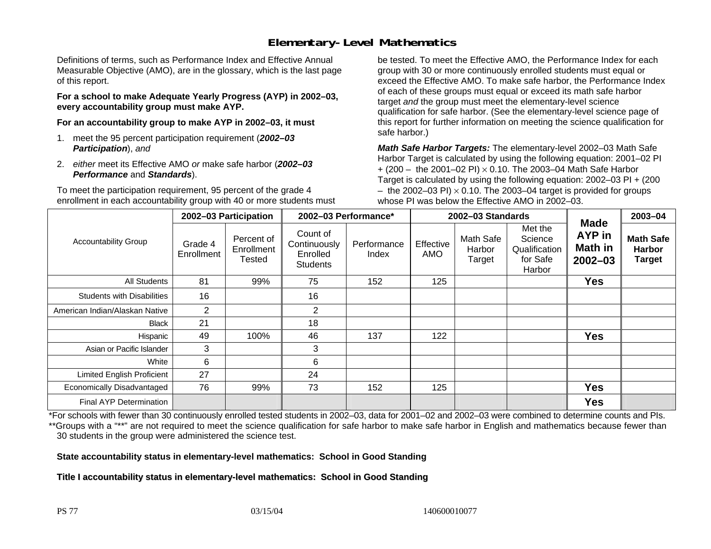## **Elementary-Level Mathematics**

Definitions of terms, such as Performance Index and Effective Annual Measurable Objective (AMO), are in the glossary, which is the last page of this report.

**For a school to make Adequate Yearly Progress (AYP) in 2002–03, every accountability group must make AYP.** 

**For an accountability group to make AYP in 2002–03, it must** 

- 1. meet the 95 percent participation requirement (*2002–03 Participation*), *and*
- 2. *either* meet its Effective AMO *or* make safe harbor (*2002–03 Performance* and *Standards*).

To meet the participation requirement, 95 percent of the grade 4 enrollment in each accountability group with 40 or more students must

be tested. To meet the Effective AMO, the Performance Index for each group with 30 or more continuously enrolled students must equal or exceed the Effective AMO. To make safe harbor, the Performance Index of each of these groups must equal or exceed its math safe harbor target *and* the group must meet the elementary-level science qualification for safe harbor. (See the elementary-level science page of this report for further information on meeting the science qualification for safe harbor.)

*Math Safe Harbor Targets:* The elementary-level 2002–03 Math Safe Harbor Target is calculated by using the following equation: 2001–02 PI + (200 – the 2001–02 PI) × 0.10. The 2003–04 Math Safe Harbor Target is calculated by using the following equation: 2002–03 PI + (200  $-$  the 2002–03 PI)  $\times$  0.10. The 2003–04 target is provided for groups whose PI was below the Effective AMO in 2002–03.

| <b>Accountability Group</b>       | 2002-03 Participation |                                    | 2002-03 Performance*                                    |                      | 2002-03 Standards       |                               |                                                           |                                                        | 2003-04                                            |
|-----------------------------------|-----------------------|------------------------------------|---------------------------------------------------------|----------------------|-------------------------|-------------------------------|-----------------------------------------------------------|--------------------------------------------------------|----------------------------------------------------|
|                                   | Grade 4<br>Enrollment | Percent of<br>Enrollment<br>Tested | Count of<br>Continuously<br>Enrolled<br><b>Students</b> | Performance<br>Index | Effective<br><b>AMO</b> | Math Safe<br>Harbor<br>Target | Met the<br>Science<br>Qualification<br>for Safe<br>Harbor | <b>Made</b><br>AYP in<br><b>Math in</b><br>$2002 - 03$ | <b>Math Safe</b><br><b>Harbor</b><br><b>Target</b> |
| All Students                      | 81                    | 99%                                | 75                                                      | 152                  | 125                     |                               |                                                           | <b>Yes</b>                                             |                                                    |
| <b>Students with Disabilities</b> | 16                    |                                    | 16                                                      |                      |                         |                               |                                                           |                                                        |                                                    |
| American Indian/Alaskan Native    | 2                     |                                    | $\overline{2}$                                          |                      |                         |                               |                                                           |                                                        |                                                    |
| <b>Black</b>                      | 21                    |                                    | 18                                                      |                      |                         |                               |                                                           |                                                        |                                                    |
| Hispanic                          | 49                    | 100%                               | 46                                                      | 137                  | 122                     |                               |                                                           | <b>Yes</b>                                             |                                                    |
| Asian or Pacific Islander         | 3                     |                                    | 3                                                       |                      |                         |                               |                                                           |                                                        |                                                    |
| White                             | 6                     |                                    | 6                                                       |                      |                         |                               |                                                           |                                                        |                                                    |
| <b>Limited English Proficient</b> | 27                    |                                    | 24                                                      |                      |                         |                               |                                                           |                                                        |                                                    |
| Economically Disadvantaged        | 76                    | 99%                                | 73                                                      | 152                  | 125                     |                               |                                                           | <b>Yes</b>                                             |                                                    |
| <b>Final AYP Determination</b>    |                       |                                    |                                                         |                      |                         |                               |                                                           | <b>Yes</b>                                             |                                                    |

\*For schools with fewer than 30 continuously enrolled tested students in 2002–03, data for 2001–02 and 2002–03 were combined to determine counts and PIs. \*\*Groups with a "\*\*" are not required to meet the science qualification for safe harbor to make safe harbor in English and mathematics because fewer than 30 students in the group were administered the science test.

**State accountability status in elementary-level mathematics: School in Good Standing** 

Title I accountability status in elementary-level mathematics: School in Good Standing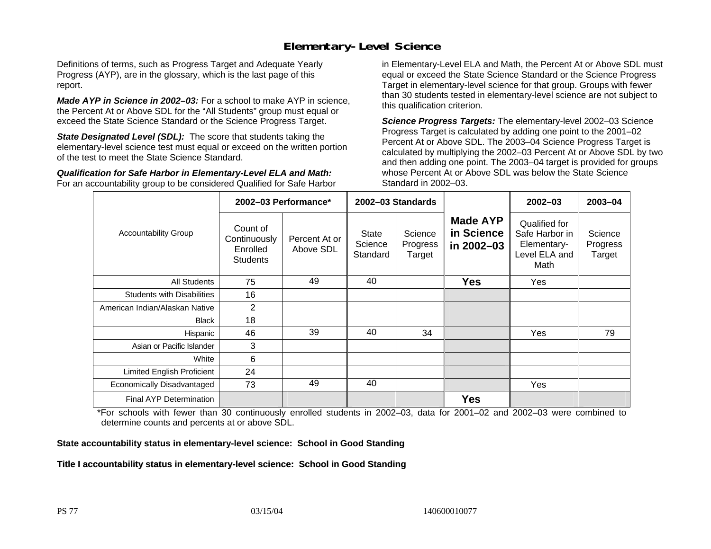#### **Elementary-Level Science**

Definitions of terms, such as Progress Target and Adequate Yearly Progress (AYP), are in the glossary, which is the last page of this report.

*Made AYP in Science in 2002–03:* For a school to make AYP in science, the Percent At or Above SDL for the "All Students" group must equal or exceed the State Science Standard or the Science Progress Target.

**State Designated Level (SDL):** The score that students taking the elementary-level science test must equal or exceed on the written portion of the test to meet the State Science Standard.

*Qualification for Safe Harbor in Elementary-Level ELA and Math:* For an accountability group to be considered Qualified for Safe Harbor in Elementary-Level ELA and Math, the Percent At or Above SDL must equal or exceed the State Science Standard or the Science Progress Target in elementary-level science for that group. Groups with fewer than 30 students tested in elementary-level science are not subject to this qualification criterion.

*Science Progress Targets:* The elementary-level 2002–03 Science Progress Target is calculated by adding one point to the 2001–02 Percent At or Above SDL. The 2003–04 Science Progress Target is calculated by multiplying the 2002–03 Percent At or Above SDL by two and then adding one point. The 2003–04 target is provided for groups whose Percent At or Above SDL was below the State Science Standard in 2002–03.

|                                   |                                                         | 2002-03 Performance*       | 2002-03 Standards            |                               |                                             | $2002 - 03$                                                             | $2003 - 04$                   |
|-----------------------------------|---------------------------------------------------------|----------------------------|------------------------------|-------------------------------|---------------------------------------------|-------------------------------------------------------------------------|-------------------------------|
| <b>Accountability Group</b>       | Count of<br>Continuously<br>Enrolled<br><b>Students</b> | Percent At or<br>Above SDL | State<br>Science<br>Standard | Science<br>Progress<br>Target | <b>Made AYP</b><br>in Science<br>in 2002-03 | Qualified for<br>Safe Harbor in<br>Elementary-<br>Level ELA and<br>Math | Science<br>Progress<br>Target |
| All Students                      | 75                                                      | 49                         | 40                           |                               | <b>Yes</b>                                  | Yes                                                                     |                               |
| <b>Students with Disabilities</b> | 16                                                      |                            |                              |                               |                                             |                                                                         |                               |
| American Indian/Alaskan Native    | $\overline{2}$                                          |                            |                              |                               |                                             |                                                                         |                               |
| <b>Black</b>                      | 18                                                      |                            |                              |                               |                                             |                                                                         |                               |
| Hispanic                          | 46                                                      | 39                         | 40                           | 34                            |                                             | Yes                                                                     | 79                            |
| Asian or Pacific Islander         | 3                                                       |                            |                              |                               |                                             |                                                                         |                               |
| White                             | 6                                                       |                            |                              |                               |                                             |                                                                         |                               |
| Limited English Proficient        | 24                                                      |                            |                              |                               |                                             |                                                                         |                               |
| Economically Disadvantaged        | 73                                                      | 49                         | 40                           |                               |                                             | Yes                                                                     |                               |
| <b>Final AYP Determination</b>    |                                                         |                            |                              |                               | <b>Yes</b>                                  |                                                                         |                               |

\*For schools with fewer than 30 continuously enrolled students in 2002–03, data for 2001–02 and 2002–03 were combined to determine counts and percents at or above SDL.

#### **State accountability status in elementary-level science: School in Good Standing**

#### Title I accountability status in elementary-level science: School in Good Standing